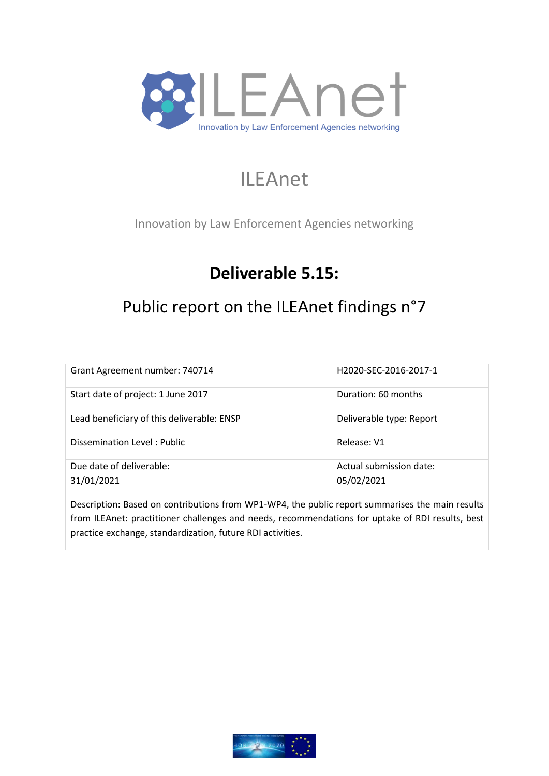

# ILEAnet

Innovation by Law Enforcement Agencies networking

# **Deliverable 5.15:**

# Public report on the ILEAnet findings n°7

| Grant Agreement number: 740714                                                                                                                         | H2020-SEC-2016-2017-1                 |  |  |
|--------------------------------------------------------------------------------------------------------------------------------------------------------|---------------------------------------|--|--|
| Start date of project: 1 June 2017                                                                                                                     | Duration: 60 months                   |  |  |
| Lead beneficiary of this deliverable: ENSP                                                                                                             | Deliverable type: Report              |  |  |
| Dissemination Level: Public                                                                                                                            | Release: V1                           |  |  |
| Due date of deliverable:<br>31/01/2021                                                                                                                 | Actual submission date:<br>05/02/2021 |  |  |
| <b>In</b> a contract of <b>In</b> a contract of the Latin <b>A sundature a</b> substantial contract of the contract of the substantial contract in the |                                       |  |  |

Description: Based on contributions from WP1-WP4, the public report summarises the main results from ILEAnet: practitioner challenges and needs, recommendations for uptake of RDI results, best practice exchange, standardization, future RDI activities.

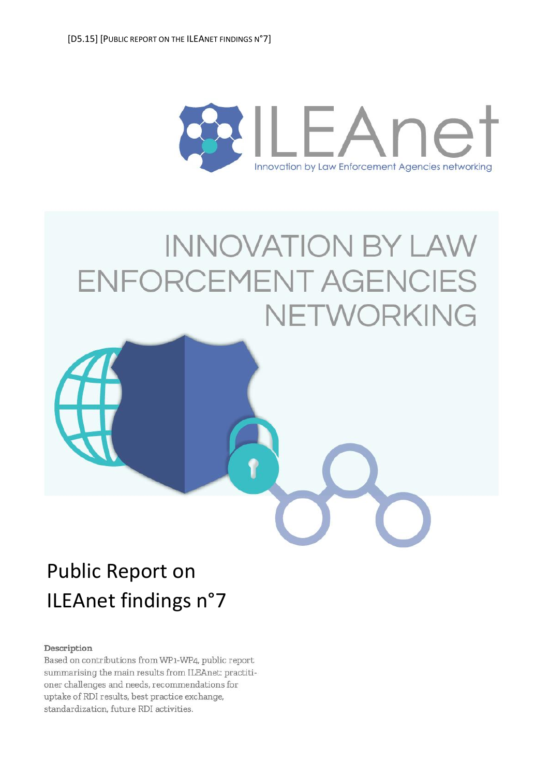

# **INNOVATION BY LAW** ENFORCEMENT AGENCIES NETWORKING



#### Description

Based on contributions from WP1-WP4, public report summarising the main results from ILEAnet: practitioner challenges and needs, recommendations for uptake of RDI results, best practice exchange, standardization, future RDI activities.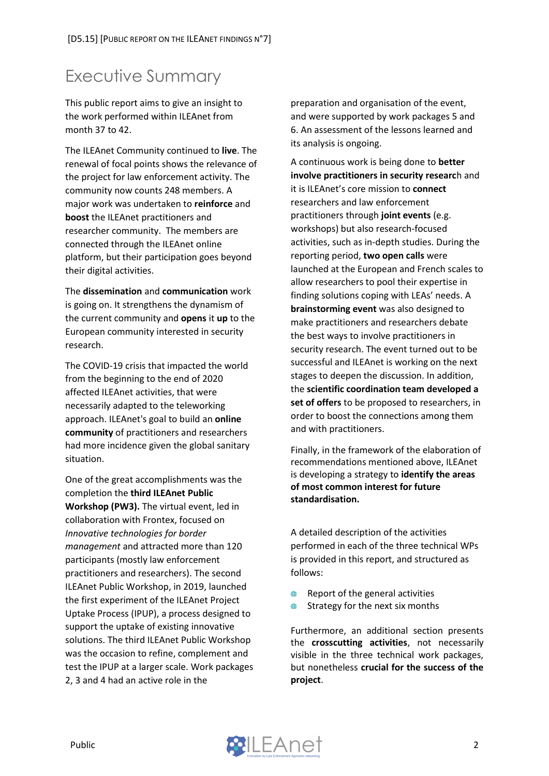# <span id="page-2-0"></span>Executive Summary

This public report aims to give an insight to the work performed within ILEAnet from month 37 to 42.

The ILEAnet Community continued to **live**. The renewal of focal points shows the relevance of the project for law enforcement activity. The community now counts 248 members. A major work was undertaken to **reinforce** and **boost** the ILEAnet practitioners and researcher community. The members are connected through the ILEAnet online platform, but their participation goes beyond their digital activities.

The **dissemination** and **communication** work is going on. It strengthens the dynamism of the current community and **opens** it **up** to the European community interested in security research.

The COVID-19 crisis that impacted the world from the beginning to the end of 2020 affected ILEAnet activities, that were necessarily adapted to the teleworking approach. ILEAnet's goal to build an **online community** of practitioners and researchers had more incidence given the global sanitary situation.

One of the great accomplishments was the completion the **third ILEAnet Public Workshop (PW3).** The virtual event, led in collaboration with Frontex, focused on *Innovative technologies for border management* and attracted more than 120 participants (mostly law enforcement practitioners and researchers). The second ILEAnet Public Workshop, in 2019, launched the first experiment of the ILEAnet Project Uptake Process (IPUP), a process designed to support the uptake of existing innovative solutions. The third ILEAnet Public Workshop was the occasion to refine, complement and test the IPUP at a larger scale. Work packages 2, 3 and 4 had an active role in the

preparation and organisation of the event, and were supported by work packages 5 and 6. An assessment of the lessons learned and its analysis is ongoing.

A continuous work is being done to **better involve practitioners in security researc**h and it is ILEAnet's core mission to **connect** researchers and law enforcement practitioners through **joint events** (e.g. workshops) but also research-focused activities, such as in-depth studies. During the reporting period, **two open calls** were launched at the European and French scales to allow researchers to pool their expertise in finding solutions coping with LEAs' needs. A **brainstorming event** was also designed to make practitioners and researchers debate the best ways to involve practitioners in security research. The event turned out to be successful and ILEAnet is working on the next stages to deepen the discussion. In addition, the **scientific coordination team developed a set of offers** to be proposed to researchers, in order to boost the connections among them and with practitioners.

Finally, in the framework of the elaboration of recommendations mentioned above, ILEAnet is developing a strategy to **identify the areas of most common interest for future standardisation.** 

A detailed description of the activities performed in each of the three technical WPs is provided in this report, and structured as follows:

- Report of the general activities  $\mathbf{m}$
- ⋒ Strategy for the next six months

Furthermore, an additional section presents the **crosscutting activities**, not necessarily visible in the three technical work packages, but nonetheless **crucial for the success of the project**.

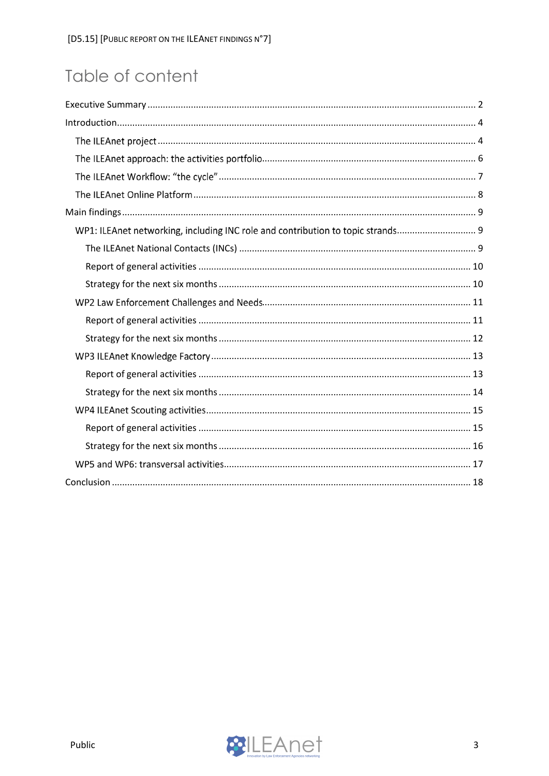# Table of content

| WP1: ILEAnet networking, including INC role and contribution to topic strands |
|-------------------------------------------------------------------------------|
|                                                                               |
|                                                                               |
|                                                                               |
|                                                                               |
|                                                                               |
|                                                                               |
|                                                                               |
|                                                                               |
|                                                                               |
|                                                                               |
|                                                                               |
|                                                                               |
|                                                                               |
|                                                                               |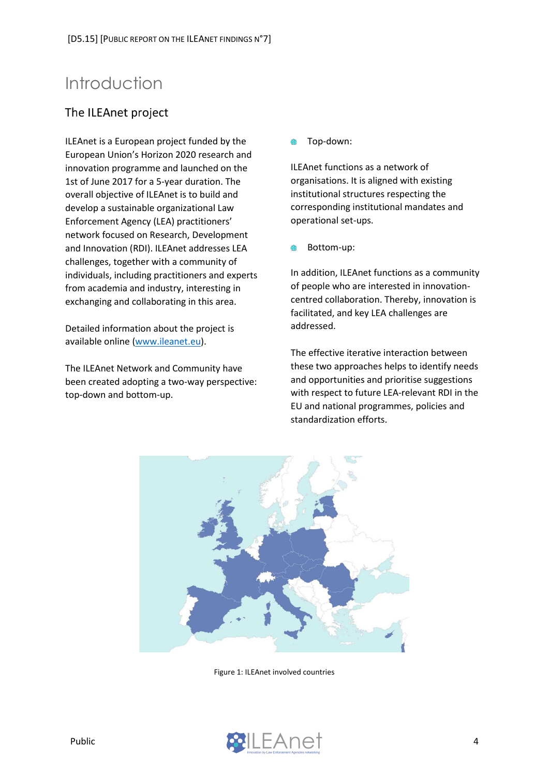# <span id="page-4-0"></span>Introduction

## <span id="page-4-1"></span>The ILEAnet project

ILEAnet is a European project funded by the European Union's Horizon 2020 research and innovation programme and launched on the 1st of June 2017 for a 5-year duration. The overall objective of ILEAnet is to build and develop a sustainable organizational Law Enforcement Agency (LEA) practitioners' network focused on Research, Development and Innovation (RDI). ILEAnet addresses LEA challenges, together with a community of individuals, including practitioners and experts from academia and industry, interesting in exchanging and collaborating in this area.

Detailed information about the project is available online [\(www.ileanet.eu\)](http://www.ileanet.eu/).

The ILEAnet Network and Community have been created adopting a two-way perspective: top-down and bottom-up.

Top-down:  $\blacksquare$ 

ILEAnet functions as a network of organisations. It is aligned with existing institutional structures respecting the corresponding institutional mandates and operational set-ups.

Bottom-up:

In addition, ILEAnet functions as a community of people who are interested in innovationcentred collaboration. Thereby, innovation is facilitated, and key LEA challenges are addressed.

The effective iterative interaction between these two approaches helps to identify needs and opportunities and prioritise suggestions with respect to future LEA-relevant RDI in the EU and national programmes, policies and standardization efforts.



Figure 1: ILEAnet involved countries

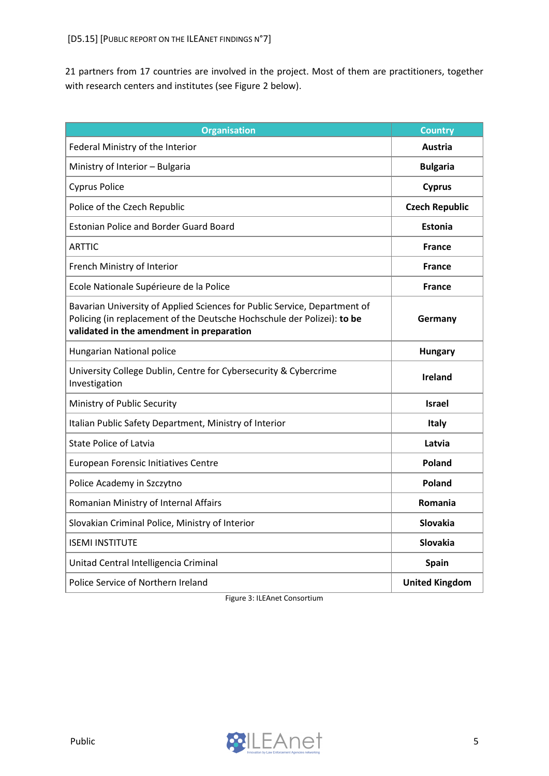21 partners from 17 countries are involved in the project. Most of them are practitioners, together with research centers and institutes (see Figure 2 below).

| <b>Organisation</b>                                                                                                                                                                               | <b>Country</b>        |
|---------------------------------------------------------------------------------------------------------------------------------------------------------------------------------------------------|-----------------------|
| Federal Ministry of the Interior                                                                                                                                                                  | Austria               |
| Ministry of Interior - Bulgaria                                                                                                                                                                   | <b>Bulgaria</b>       |
| <b>Cyprus Police</b>                                                                                                                                                                              | <b>Cyprus</b>         |
| Police of the Czech Republic                                                                                                                                                                      | <b>Czech Republic</b> |
| <b>Estonian Police and Border Guard Board</b>                                                                                                                                                     | <b>Estonia</b>        |
| ARTTIC                                                                                                                                                                                            | <b>France</b>         |
| French Ministry of Interior                                                                                                                                                                       | <b>France</b>         |
| Ecole Nationale Supérieure de la Police                                                                                                                                                           | <b>France</b>         |
| Bavarian University of Applied Sciences for Public Service, Department of<br>Policing (in replacement of the Deutsche Hochschule der Polizei): to be<br>validated in the amendment in preparation | Germany               |
| Hungarian National police                                                                                                                                                                         | <b>Hungary</b>        |
| University College Dublin, Centre for Cybersecurity & Cybercrime<br>Investigation                                                                                                                 | <b>Ireland</b>        |
| Ministry of Public Security                                                                                                                                                                       | <b>Israel</b>         |
| Italian Public Safety Department, Ministry of Interior                                                                                                                                            | <b>Italy</b>          |
| <b>State Police of Latvia</b>                                                                                                                                                                     | Latvia                |
| European Forensic Initiatives Centre                                                                                                                                                              | Poland                |
| Police Academy in Szczytno                                                                                                                                                                        | <b>Poland</b>         |
| Romanian Ministry of Internal Affairs                                                                                                                                                             | Romania               |
| Slovakian Criminal Police, Ministry of Interior                                                                                                                                                   | <b>Slovakia</b>       |
| <b>ISEMI INSTITUTE</b>                                                                                                                                                                            | <b>Slovakia</b>       |
| Unitad Central Intelligencia Criminal                                                                                                                                                             | <b>Spain</b>          |
| Police Service of Northern Ireland                                                                                                                                                                | <b>United Kingdom</b> |

Figure 3: ILEAnet Consortium

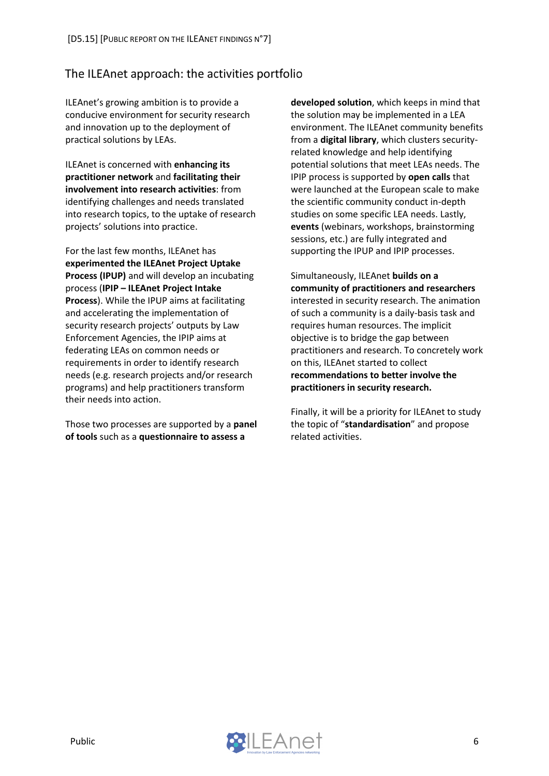### <span id="page-6-0"></span>The ILEAnet approach: the activities portfolio

ILEAnet's growing ambition is to provide a conducive environment for security research and innovation up to the deployment of practical solutions by LEAs.

ILEAnet is concerned with **enhancing its practitioner network** and **facilitating their involvement into research activities**: from identifying challenges and needs translated into research topics, to the uptake of research projects' solutions into practice.

For the last few months, ILEAnet has **experimented the ILEAnet Project Uptake Process (IPUP)** and will develop an incubating process (**IPIP – ILEAnet Project Intake Process**). While the IPUP aims at facilitating and accelerating the implementation of security research projects' outputs by Law Enforcement Agencies, the IPIP aims at federating LEAs on common needs or requirements in order to identify research needs (e.g. research projects and/or research programs) and help practitioners transform their needs into action.

Those two processes are supported by a **panel of tools** such as a **questionnaire to assess a** 

**developed solution**, which keeps in mind that the solution may be implemented in a LEA environment. The ILEAnet community benefits from a **digital library**, which clusters securityrelated knowledge and help identifying potential solutions that meet LEAs needs. The IPIP process is supported by **open calls** that were launched at the European scale to make the scientific community conduct in-depth studies on some specific LEA needs. Lastly, **events** (webinars, workshops, brainstorming sessions, etc.) are fully integrated and supporting the IPUP and IPIP processes.

Simultaneously, ILEAnet **builds on a community of practitioners and researchers** interested in security research. The animation of such a community is a daily-basis task and requires human resources. The implicit objective is to bridge the gap between practitioners and research. To concretely work on this, ILEAnet started to collect **recommendations to better involve the practitioners in security research.** 

Finally, it will be a priority for ILEAnet to study the topic of "**standardisation**" and propose related activities.

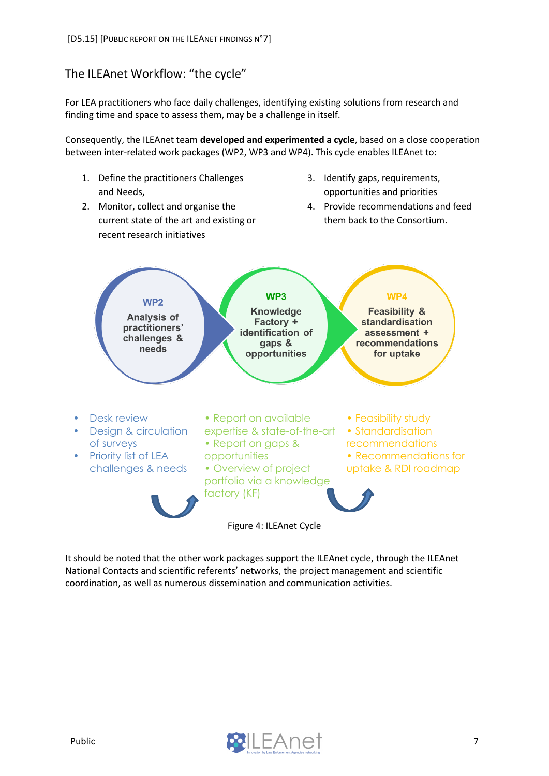## <span id="page-7-0"></span>The ILEAnet Workflow: "the cycle"

For LEA practitioners who face daily challenges, identifying existing solutions from research and finding time and space to assess them, may be a challenge in itself.

Consequently, the ILEAnet team **developed and experimented a cycle**, based on a close cooperation between inter-related work packages (WP2, WP3 and WP4). This cycle enables ILEAnet to:

- 1. Define the practitioners Challenges and Needs,
- 2. Monitor, collect and organise the current state of the art and existing or recent research initiatives
- 3. Identify gaps, requirements, opportunities and priorities
- 4. Provide recommendations and feed them back to the Consortium.



It should be noted that the other work packages support the ILEAnet cycle, through the ILEAnet National Contacts and scientific referents' networks, the project management and scientific coordination, as well as numerous dissemination and communication activities.

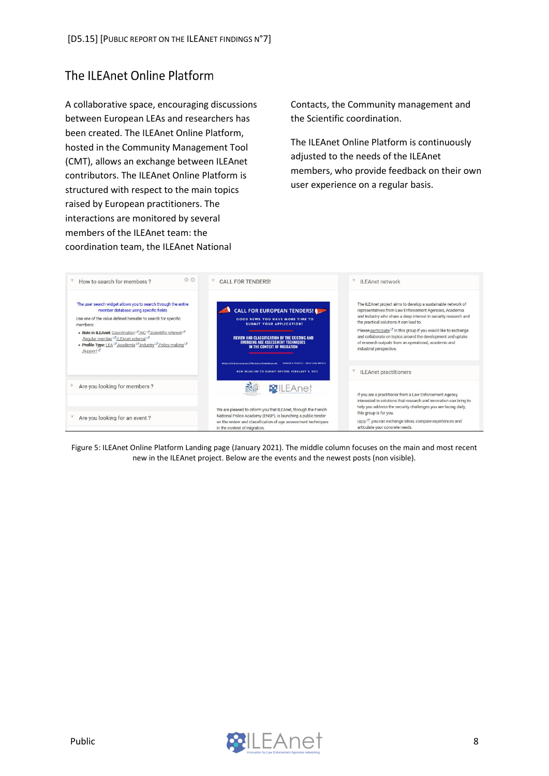# <span id="page-8-0"></span>The ILEAnet Online Platform

A collaborative space, encouraging discussions between European LEAs and researchers has been created. The ILEAnet Online Platform, hosted in the Community Management Tool (CMT), allows an exchange between ILEAnet contributors. The ILEAnet Online Platform is structured with respect to the main topics raised by European practitioners. The interactions are monitored by several members of the ILEAnet team: the coordination team, the ILEAnet National

Contacts, the Community management and the Scientific coordination.

The ILEAnet Online Platform is continuously adjusted to the needs of the ILEAnet members, who provide feedback on their own user experience on a regular basis.



Figure 5: ILEAnet Online Platform Landing page (January 2021). The middle column focuses on the main and most recent new in the ILEAnet project. Below are the events and the newest posts (non visible).

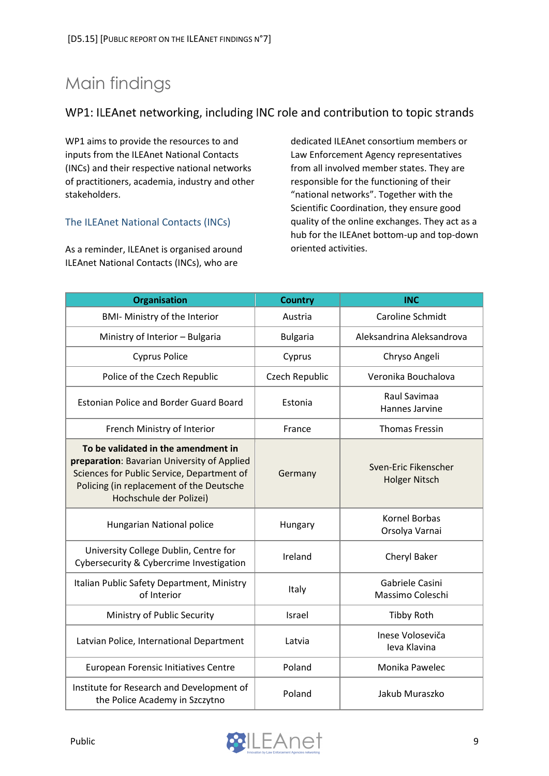# <span id="page-9-0"></span>Main findings

### <span id="page-9-1"></span>WP1: ILEAnet networking, including INC role and contribution to topic strands

WP1 aims to provide the resources to and inputs from the ILEAnet National Contacts (INCs) and their respective national networks of practitioners, academia, industry and other stakeholders.

#### <span id="page-9-2"></span>The ILEAnet National Contacts (INCs)

As a reminder, ILEAnet is organised around ILEAnet National Contacts (INCs), who are

dedicated ILEAnet consortium members or Law Enforcement Agency representatives from all involved member states. They are responsible for the functioning of their "national networks". Together with the Scientific Coordination, they ensure good quality of the online exchanges. They act as a hub for the ILEAnet bottom-up and top-down oriented activities.

| <b>Organisation</b>                                                                                                                                                                                     | <b>Country</b>  | <b>INC</b>                                   |
|---------------------------------------------------------------------------------------------------------------------------------------------------------------------------------------------------------|-----------------|----------------------------------------------|
| <b>BMI- Ministry of the Interior</b>                                                                                                                                                                    | Austria         | Caroline Schmidt                             |
| Ministry of Interior - Bulgaria                                                                                                                                                                         | <b>Bulgaria</b> | Aleksandrina Aleksandrova                    |
| <b>Cyprus Police</b>                                                                                                                                                                                    | Cyprus          | Chryso Angeli                                |
| Police of the Czech Republic                                                                                                                                                                            | Czech Republic  | Veronika Bouchalova                          |
| <b>Estonian Police and Border Guard Board</b>                                                                                                                                                           | Estonia         | Raul Savimaa<br>Hannes Jarvine               |
| French Ministry of Interior                                                                                                                                                                             | France          | <b>Thomas Fressin</b>                        |
| To be validated in the amendment in<br>preparation: Bavarian University of Applied<br>Sciences for Public Service, Department of<br>Policing (in replacement of the Deutsche<br>Hochschule der Polizei) | Germany         | Sven-Eric Fikenscher<br><b>Holger Nitsch</b> |
| Hungarian National police                                                                                                                                                                               | Hungary         | Kornel Borbas<br>Orsolya Varnai              |
| University College Dublin, Centre for<br>Cybersecurity & Cybercrime Investigation                                                                                                                       | Ireland         | Cheryl Baker                                 |
| Italian Public Safety Department, Ministry<br>of Interior                                                                                                                                               | Italy           | Gabriele Casini<br>Massimo Coleschi          |
| Ministry of Public Security                                                                                                                                                                             | Israel          | <b>Tibby Roth</b>                            |
| Latvian Police, International Department                                                                                                                                                                | Latvia          | Inese Voloseviča<br>Ieva Klavina             |
| European Forensic Initiatives Centre                                                                                                                                                                    | Poland          | Monika Pawelec                               |
| Institute for Research and Development of<br>the Police Academy in Szczytno                                                                                                                             | Poland          | Jakub Muraszko                               |

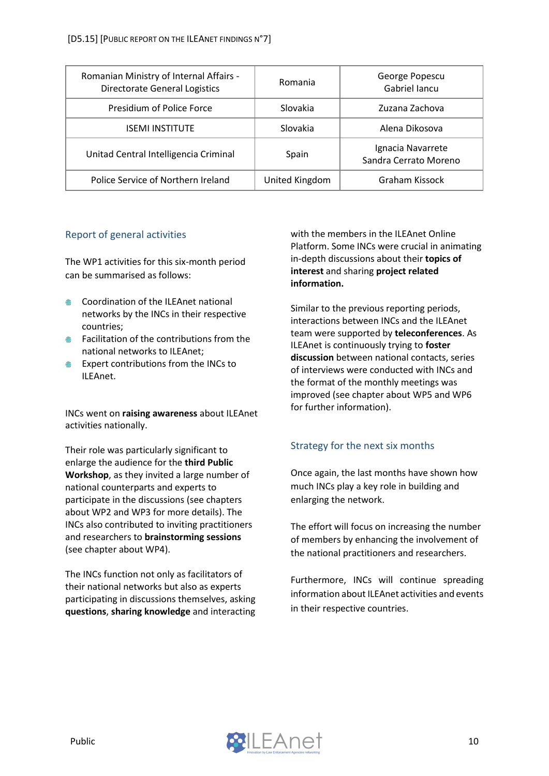| Romanian Ministry of Internal Affairs -<br><b>Directorate General Logistics</b> | Romania        | George Popescu<br>Gabriel Iancu            |
|---------------------------------------------------------------------------------|----------------|--------------------------------------------|
| Presidium of Police Force                                                       | Slovakia       | Zuzana Zachova                             |
| <b>ISEMI INSTITUTE</b>                                                          | Slovakia       | Alena Dikosova                             |
| Unitad Central Intelligencia Criminal                                           | Spain          | Ignacia Navarrete<br>Sandra Cerrato Moreno |
| Police Service of Northern Ireland                                              | United Kingdom | Graham Kissock                             |

#### <span id="page-10-0"></span>Report of general activities

The WP1 activities for this six-month period can be summarised as follows:

- Coordination of the ILEAnet national networks by the INCs in their respective countries;
- **■** Facilitation of the contributions from the national networks to ILEAnet;
- **Expert contributions from the INCs to** ILEAnet.

INCs went on **raising awareness** about ILEAnet activities nationally.

Their role was particularly significant to enlarge the audience for the **third Public Workshop**, as they invited a large number of national counterparts and experts to participate in the discussions (see chapters about WP2 and WP3 for more details). The INCs also contributed to inviting practitioners and researchers to **brainstorming sessions** (see chapter about WP4).

The INCs function not only as facilitators of their national networks but also as experts participating in discussions themselves, asking **questions**, **sharing knowledge** and interacting

with the members in the ILEAnet Online Platform. Some INCs were crucial in animating in-depth discussions about their **topics of interest** and sharing **project related information.** 

Similar to the previous reporting periods, interactions between INCs and the ILEAnet team were supported by **teleconferences**. As ILEAnet is continuously trying to **foster discussion** between national contacts, series of interviews were conducted with INCs and the format of the monthly meetings was improved (see chapter about WP5 and WP6 for further information).

### <span id="page-10-1"></span>Strategy for the next six months

Once again, the last months have shown how much INCs play a key role in building and enlarging the network.

The effort will focus on increasing the number of members by enhancing the involvement of the national practitioners and researchers.

Furthermore, INCs will continue spreading information about ILEAnet activities and events in their respective countries.

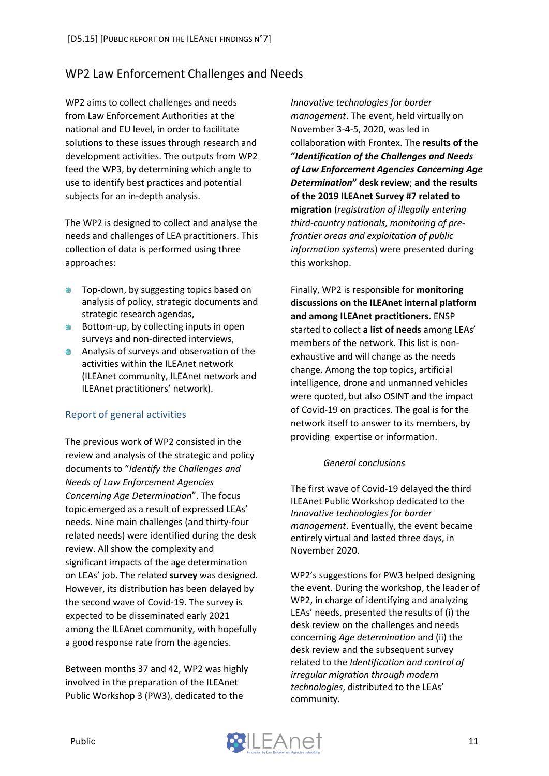# <span id="page-11-0"></span>WP2 Law Enforcement Challenges and Needs

WP2 aims to collect challenges and needs from Law Enforcement Authorities at the national and EU level, in order to facilitate solutions to these issues through research and development activities. The outputs from WP2 feed the WP3, by determining which angle to use to identify best practices and potential subjects for an in-depth analysis.

The WP2 is designed to collect and analyse the needs and challenges of LEA practitioners. This collection of data is performed using three approaches:

- Top-down, by suggesting topics based on analysis of policy, strategic documents and strategic research agendas,
- **●** Bottom-up, by collecting inputs in open surveys and non-directed interviews,
- **Analysis of surveys and observation of the** activities within the ILEAnet network (ILEAnet community, ILEAnet network and ILEAnet practitioners' network).

### <span id="page-11-1"></span>Report of general activities

The previous work of WP2 consisted in the review and analysis of the strategic and policy documents to "*Identify the Challenges and Needs of Law Enforcement Agencies Concerning Age Determination*". The focus topic emerged as a result of expressed LEAs' needs. Nine main challenges (and thirty-four related needs) were identified during the desk review. All show the complexity and significant impacts of the age determination on LEAs' job. The related **survey** was designed. However, its distribution has been delayed by the second wave of Covid-19. The survey is expected to be disseminated early 2021 among the ILEAnet community, with hopefully a good response rate from the agencies.

Between months 37 and 42, WP2 was highly involved in the preparation of the ILEAnet Public Workshop 3 (PW3), dedicated to the

*Innovative technologies for border management*. The event, held virtually on November 3-4-5, 2020, was led in collaboration with Frontex. The **results of the "***Identification of the Challenges and Needs of Law Enforcement Agencies Concerning Age Determination***" desk review**; **and the results of the 2019 ILEAnet Survey #7 related to migration** (*registration of illegally entering third-country nationals, monitoring of prefrontier areas and exploitation of public information systems*) were presented during this workshop.

Finally, WP2 is responsible for **monitoring discussions on the ILEAnet internal platform and among ILEAnet practitioners**. ENSP started to collect **a list of needs** among LEAs' members of the network. This list is nonexhaustive and will change as the needs change. Among the top topics, artificial intelligence, drone and unmanned vehicles were quoted, but also OSINT and the impact of Covid-19 on practices. The goal is for the network itself to answer to its members, by providing expertise or information.

#### *General conclusions*

The first wave of Covid-19 delayed the third ILEAnet Public Workshop dedicated to the *Innovative technologies for border management*. Eventually, the event became entirely virtual and lasted three days, in November 2020.

WP2's suggestions for PW3 helped designing the event. During the workshop, the leader of WP2, in charge of identifying and analyzing LEAs' needs, presented the results of (i) the desk review on the challenges and needs concerning *Age determination* and (ii) the desk review and the subsequent survey related to the *Identification and control of irregular migration through modern technologies*, distributed to the LEAs' community.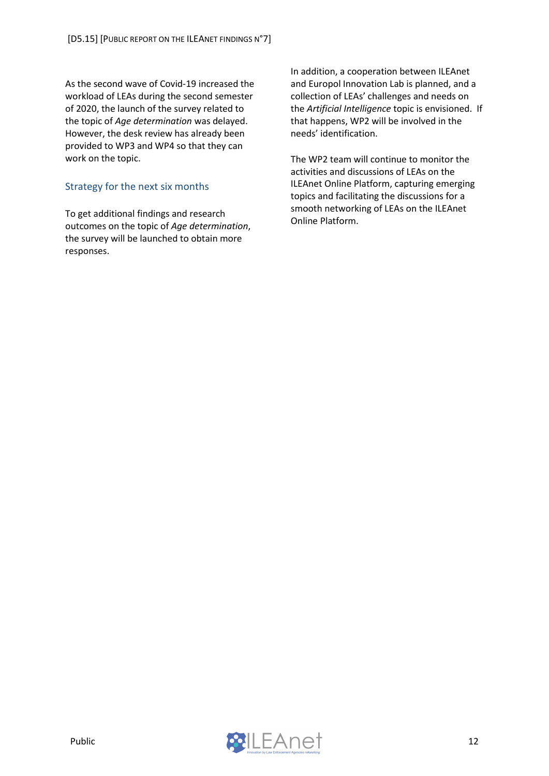As the second wave of Covid-19 increased the workload of LEAs during the second semester of 2020, the launch of the survey related to the topic of *Age determination* was delayed. However, the desk review has already been provided to WP3 and WP4 so that they can work on the topic.

#### <span id="page-12-0"></span>Strategy for the next six months

To get additional findings and research outcomes on the topic of *Age determination*, the survey will be launched to obtain more responses.

In addition, a cooperation between ILEAnet and Europol Innovation Lab is planned, and a collection of LEAs' challenges and needs on the *Artificial Intelligence* topic is envisioned. If that happens, WP2 will be involved in the needs' identification.

The WP2 team will continue to monitor the activities and discussions of LEAs on the ILEAnet Online Platform, capturing emerging topics and facilitating the discussions for a smooth networking of LEAs on the ILEAnet Online Platform.

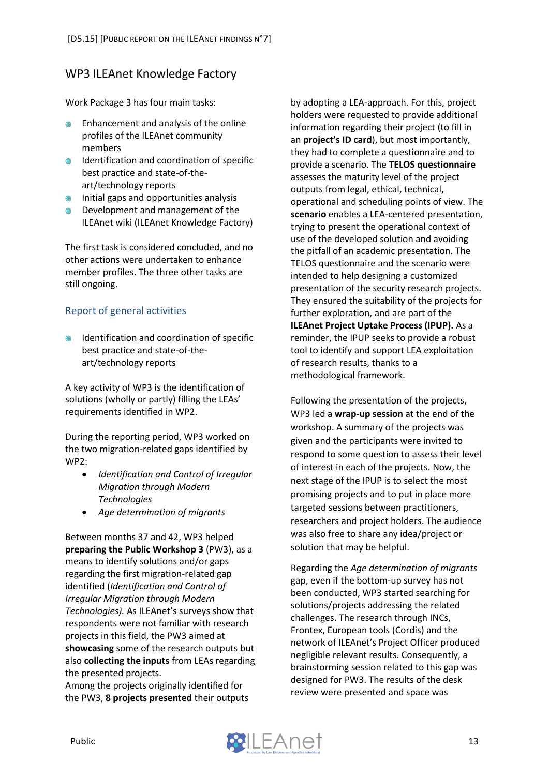### <span id="page-13-0"></span>**WP3 ILEAnet Knowledge Factory**

Work Package 3 has four main tasks:

- Enhancement and analysis of the online profiles of the ILEAnet community members
- **IDENTIFICATION AND COORDINATION OF SPECIFIC** best practice and state-of-theart/technology reports
- $\bullet$  Initial gaps and opportunities analysis
- **EXECUTE:** Development and management of the ILEAnet wiki (ILEAnet Knowledge Factory)

The first task is considered concluded, and no other actions were undertaken to enhance member profiles. The three other tasks are still ongoing.

#### <span id="page-13-1"></span>Report of general activities

**IDENTIFICATION AND COORDINATION OF SPECIFIC** best practice and state-of-theart/technology reports

A key activity of WP3 is the identification of solutions (wholly or partly) filling the LEAs' requirements identified in WP2.

During the reporting period, WP3 worked on the two migration-related gaps identified by WP2:

- *Identification and Control of Irregular Migration through Modern Technologies*
- *Age determination of migrants*

Between months 37 and 42, WP3 helped **preparing the Public Workshop 3** (PW3), as a means to identify solutions and/or gaps regarding the first migration-related gap identified (*Identification and Control of Irregular Migration through Modern Technologies).* As ILEAnet's surveys show that respondents were not familiar with research projects in this field, the PW3 aimed at **showcasing** some of the research outputs but also **collecting the inputs** from LEAs regarding the presented projects.

Among the projects originally identified for the PW3, **8 projects presented** their outputs by adopting a LEA-approach. For this, project holders were requested to provide additional information regarding their project (to fill in an **project's ID card**), but most importantly, they had to complete a questionnaire and to provide a scenario. The **TELOS questionnaire** assesses the maturity level of the project outputs from legal, ethical, technical, operational and scheduling points of view. The **scenario** enables a LEA-centered presentation, trying to present the operational context of use of the developed solution and avoiding the pitfall of an academic presentation. The TELOS questionnaire and the scenario were intended to help designing a customized presentation of the security research projects. They ensured the suitability of the projects for further exploration, and are part of the **ILEAnet Project Uptake Process (IPUP).** As a reminder, the IPUP seeks to provide a robust tool to identify and support LEA exploitation of research results, thanks to a methodological framework.

Following the presentation of the projects, WP3 led a **wrap-up session** at the end of the workshop. A summary of the projects was given and the participants were invited to respond to some question to assess their level of interest in each of the projects. Now, the next stage of the IPUP is to select the most promising projects and to put in place more targeted sessions between practitioners, researchers and project holders. The audience was also free to share any idea/project or solution that may be helpful.

Regarding the *Age determination of migrants* gap, even if the bottom-up survey has not been conducted, WP3 started searching for solutions/projects addressing the related challenges. The research through INCs, Frontex, European tools (Cordis) and the network of ILEAnet's Project Officer produced negligible relevant results. Consequently, a brainstorming session related to this gap was designed for PW3. The results of the desk review were presented and space was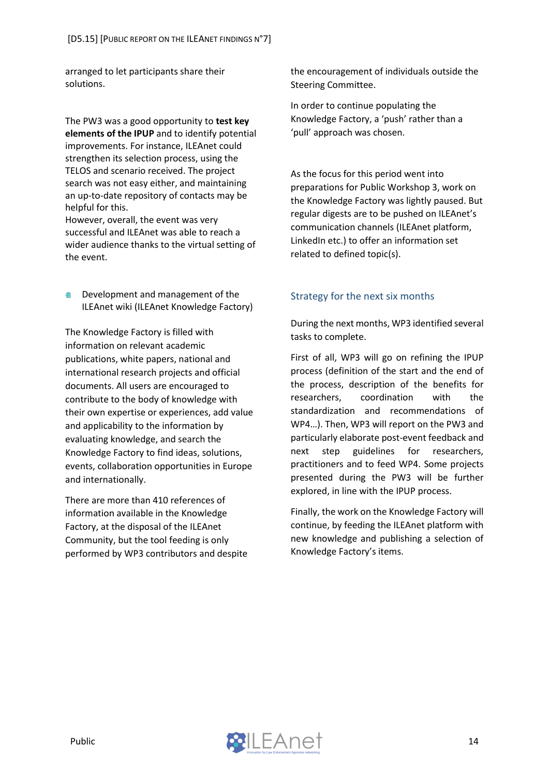arranged to let participants share their solutions.

The PW3 was a good opportunity to **test key elements of the IPUP** and to identify potential improvements. For instance, ILEAnet could strengthen its selection process, using the TELOS and scenario received. The project search was not easy either, and maintaining an up-to-date repository of contacts may be helpful for this.

However, overall, the event was very successful and ILEAnet was able to reach a wider audience thanks to the virtual setting of the event.

**EXECUTE:** Development and management of the ILEAnet wiki (ILEAnet Knowledge Factory)

The Knowledge Factory is filled with information on relevant academic publications, white papers, national and international research projects and official documents. All users are encouraged to contribute to the body of knowledge with their own expertise or experiences, add value and applicability to the information by evaluating knowledge, and search the Knowledge Factory to find ideas, solutions, events, collaboration opportunities in Europe and internationally.

There are more than 410 references of information available in the Knowledge Factory, at the disposal of the ILEAnet Community, but the tool feeding is only performed by WP3 contributors and despite the encouragement of individuals outside the Steering Committee.

In order to continue populating the Knowledge Factory, a 'push' rather than a 'pull' approach was chosen.

As the focus for this period went into preparations for Public Workshop 3, work on the Knowledge Factory was lightly paused. But regular digests are to be pushed on ILEAnet's communication channels (ILEAnet platform, LinkedIn etc.) to offer an information set related to defined topic(s).

#### <span id="page-14-0"></span>Strategy for the next six months

During the next months, WP3 identified several tasks to complete.

First of all, WP3 will go on refining the IPUP process (definition of the start and the end of the process, description of the benefits for researchers, coordination with the standardization and recommendations of WP4…). Then, WP3 will report on the PW3 and particularly elaborate post-event feedback and next step guidelines for researchers, practitioners and to feed WP4. Some projects presented during the PW3 will be further explored, in line with the IPUP process.

Finally, the work on the Knowledge Factory will continue, by feeding the ILEAnet platform with new knowledge and publishing a selection of Knowledge Factory's items.

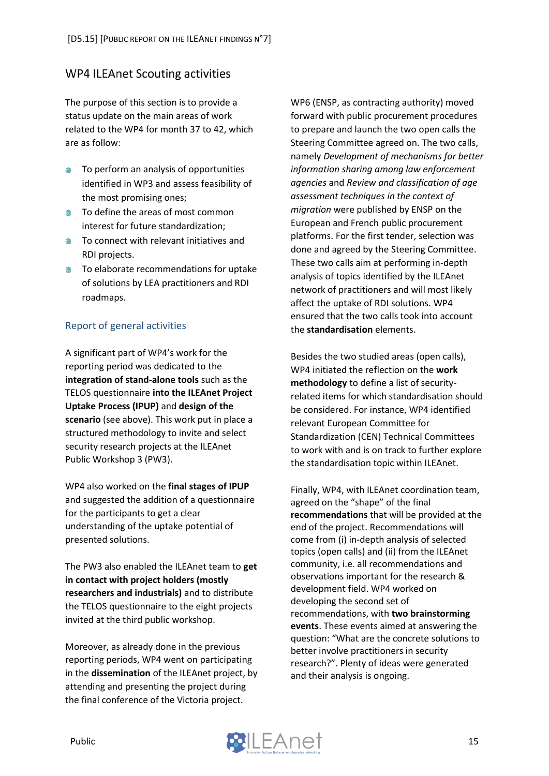### <span id="page-15-0"></span>**WP4 ILEAnet Scouting activities**

The purpose of this section is to provide a status update on the main areas of work related to the WP4 for month 37 to 42, which are as follow:

- **To perform an analysis of opportunities** identified in WP3 and assess feasibility of the most promising ones;
- **●** To define the areas of most common interest for future standardization;
- **To connect with relevant initiatives and** RDI projects.
- **●** To elaborate recommendations for uptake of solutions by LEA practitioners and RDI roadmaps.

#### <span id="page-15-1"></span>Report of general activities

A significant part of WP4's work for the reporting period was dedicated to the **integration of stand-alone tools** such as the TELOS questionnaire **into the ILEAnet Project Uptake Process (IPUP)** and **design of the scenario** (see above). This work put in place a structured methodology to invite and select security research projects at the ILEAnet Public Workshop 3 (PW3).

WP4 also worked on the **final stages of IPUP** and suggested the addition of a questionnaire for the participants to get a clear understanding of the uptake potential of presented solutions.

The PW3 also enabled the ILEAnet team to **get in contact with project holders (mostly researchers and industrials)** and to distribute the TELOS questionnaire to the eight projects invited at the third public workshop.

Moreover, as already done in the previous reporting periods, WP4 went on participating in the **dissemination** of the ILEAnet project, by attending and presenting the project during the final conference of the Victoria project.

WP6 (ENSP, as contracting authority) moved forward with public procurement procedures to prepare and launch the two open calls the Steering Committee agreed on. The two calls, namely *Development of mechanisms for better information sharing among law enforcement agencies* and *Review and classification of age assessment techniques in the context of migration* were published by ENSP on the European and French public procurement platforms. For the first tender, selection was done and agreed by the Steering Committee. These two calls aim at performing in-depth analysis of topics identified by the ILEAnet network of practitioners and will most likely affect the uptake of RDI solutions. WP4 ensured that the two calls took into account the **standardisation** elements.

Besides the two studied areas (open calls), WP4 initiated the reflection on the **work methodology** to define a list of securityrelated items for which standardisation should be considered. For instance, WP4 identified relevant European Committee for Standardization (CEN) Technical Committees to work with and is on track to further explore the standardisation topic within ILEAnet.

Finally, WP4, with ILEAnet coordination team, agreed on the "shape" of the final **recommendations** that will be provided at the end of the project. Recommendations will come from (i) in-depth analysis of selected topics (open calls) and (ii) from the ILEAnet community, i.e. all recommendations and observations important for the research & development field. WP4 worked on developing the second set of recommendations, with **two brainstorming events**. These events aimed at answering the question: "What are the concrete solutions to better involve practitioners in security research?". Plenty of ideas were generated and their analysis is ongoing.

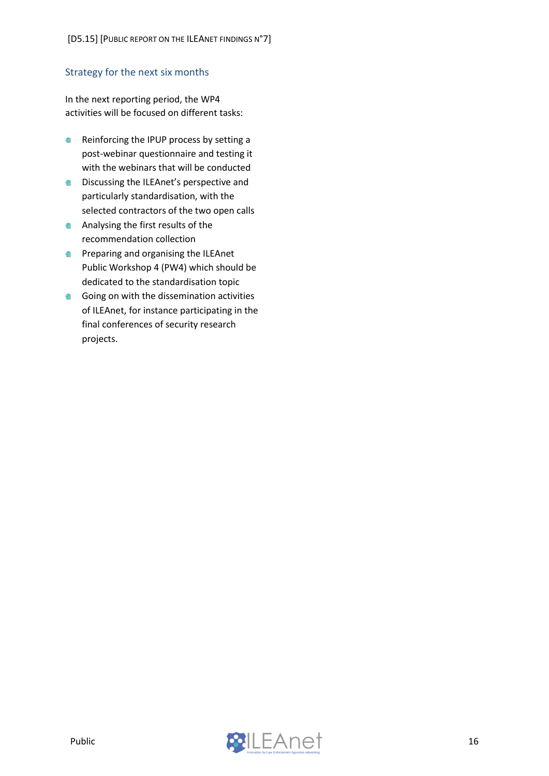#### <span id="page-16-0"></span>Strategy for the next six months

In the next reporting period, the WP4 activities will be focused on different tasks:

- Reinforcing the IPUP process by setting a post-webinar questionnaire and testing it with the webinars that will be conducted
- **Discussing the ILEAnet's perspective and** particularly standardisation, with the selected contractors of the two open calls
- **Analysing the first results of the** recommendation collection
- **Preparing and organising the ILEAnet** Public Workshop 4 (PW4) which should be dedicated to the standardisation topic
- **Going on with the dissemination activities** of ILEAnet, for instance participating in the final conferences of security research projects.

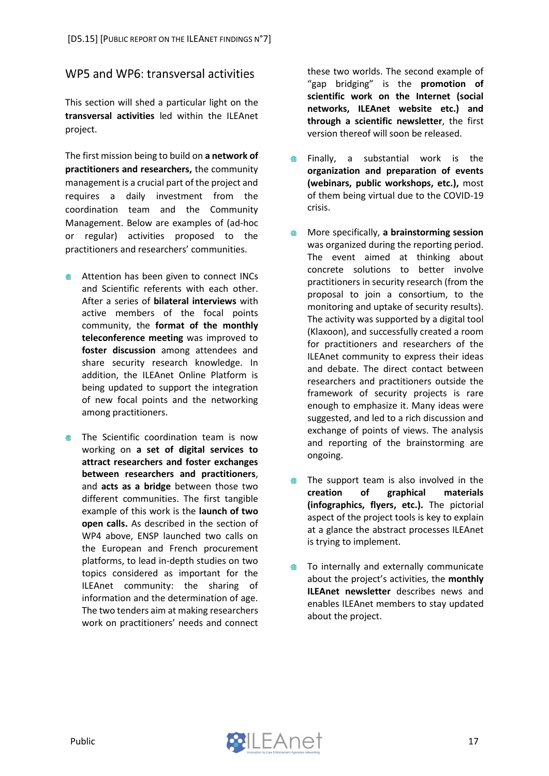### <span id="page-17-0"></span>WP5 and WP6: transversal activities

This section will shed a particular light on the **transversal activities** led within the ILEAnet project.

The first mission being to build on **a network of practitioners and researchers,** the community management is a crucial part of the project and requires a daily investment from the coordination team and the Community Management. Below are examples of (ad-hoc or regular) activities proposed to the practitioners and researchers' communities.

- Attention has been given to connect INCs and Scientific referents with each other. After a series of **bilateral interviews** with active members of the focal points community, the **format of the monthly teleconference meeting** was improved to **foster discussion** among attendees and share security research knowledge. In addition, the ILEAnet Online Platform is being updated to support the integration of new focal points and the networking among practitioners.
- The Scientific coordination team is now working on **a set of digital services to attract researchers and foster exchanges between researchers and practitioners**, and **acts as a bridge** between those two different communities. The first tangible example of this work is the **launch of two open calls.** As described in the section of WP4 above, ENSP launched two calls on the European and French procurement platforms, to lead in-depth studies on two topics considered as important for the ILEAnet community: the sharing of information and the determination of age. The two tenders aim at making researchers work on practitioners' needs and connect

these two worlds. The second example of "gap bridging" is the **promotion of scientific work on the Internet (social networks, ILEAnet website etc.) and through a scientific newsletter**, the first version thereof will soon be released.

- $\blacksquare$ Finally, a substantial work is the **organization and preparation of events (webinars, public workshops, etc.),** most of them being virtual due to the COVID-19 crisis.
- More specifically, **a brainstorming session**  $\oplus$ was organized during the reporting period. The event aimed at thinking about concrete solutions to better involve practitioners in security research (from the proposal to join a consortium, to the monitoring and uptake of security results). The activity was supported by a digital tool (Klaxoon), and successfully created a room for practitioners and researchers of the ILEAnet community to express their ideas and debate. The direct contact between researchers and practitioners outside the framework of security projects is rare enough to emphasize it. Many ideas were suggested, and led to a rich discussion and exchange of points of views. The analysis and reporting of the brainstorming are ongoing.
- $\qquad \qquad \oplus$ The support team is also involved in the **creation of graphical materials (infographics, flyers, etc.).** The pictorial aspect of the project tools is key to explain at a glance the abstract processes ILEAnet is trying to implement.
- To internally and externally communicate ● about the project's activities, the **monthly ILEAnet newsletter** describes news and enables ILEAnet members to stay updated about the project.

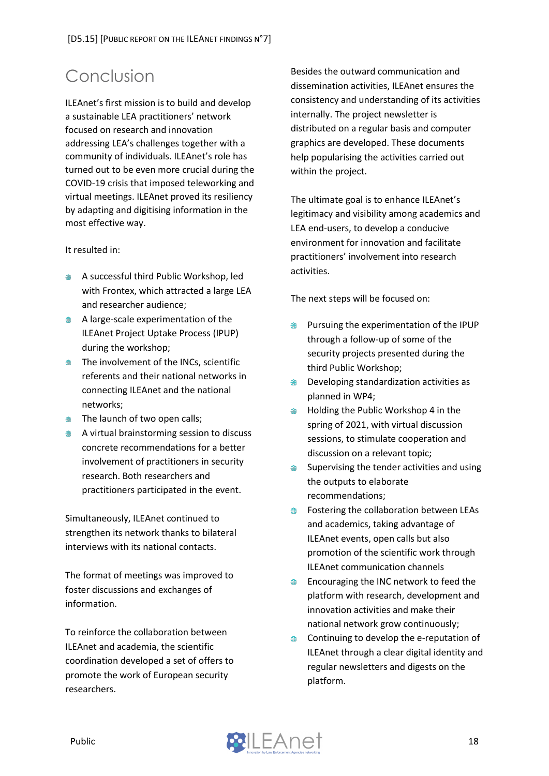# <span id="page-18-0"></span>Conclusion

ILEAnet's first mission is to build and develop a sustainable LEA practitioners' network focused on research and innovation addressing LEA's challenges together with a community of individuals. ILEAnet's role has turned out to be even more crucial during the COVID-19 crisis that imposed teleworking and virtual meetings. ILEAnet proved its resiliency by adapting and digitising information in the most effective way.

#### It resulted in:

- **A successful third Public Workshop, led** with Frontex, which attracted a large LEA and researcher audience;
- A large-scale experimentation of the ILEAnet Project Uptake Process (IPUP) during the workshop;
- **The involvement of the INCs, scientific** referents and their national networks in connecting ILEAnet and the national networks;
- **The launch of two open calls;**
- **A** A virtual brainstorming session to discuss concrete recommendations for a better involvement of practitioners in security research. Both researchers and practitioners participated in the event.

Simultaneously, ILEAnet continued to strengthen its network thanks to bilateral interviews with its national contacts.

The format of meetings was improved to foster discussions and exchanges of information.

To reinforce the collaboration between ILEAnet and academia, the scientific coordination developed a set of offers to promote the work of European security researchers.

Besides the outward communication and dissemination activities, ILEAnet ensures the consistency and understanding of its activities internally. The project newsletter is distributed on a regular basis and computer graphics are developed. These documents help popularising the activities carried out within the project.

The ultimate goal is to enhance ILEAnet's legitimacy and visibility among academics and LEA end-users, to develop a conducive environment for innovation and facilitate practitioners' involvement into research activities.

The next steps will be focused on:

- Pursuing the experimentation of the IPUP through a follow-up of some of the security projects presented during the third Public Workshop;
- ⊕ Developing standardization activities as planned in WP4;
- Holding the Public Workshop 4 in the  $\qquad \qquad \bigoplus$ spring of 2021, with virtual discussion sessions, to stimulate cooperation and discussion on a relevant topic;
- Supervising the tender activities and using  $\qquad \qquad \oplus$ the outputs to elaborate recommendations;
- Fostering the collaboration between LEAs  $\bigoplus$ and academics, taking advantage of ILEAnet events, open calls but also promotion of the scientific work through ILEAnet communication channels
- Encouraging the INC network to feed the  $\qquad \qquad \oplus$ platform with research, development and innovation activities and make their national network grow continuously;
- Continuing to develop the e-reputation of ● ILEAnet through a clear digital identity and regular newsletters and digests on the platform.